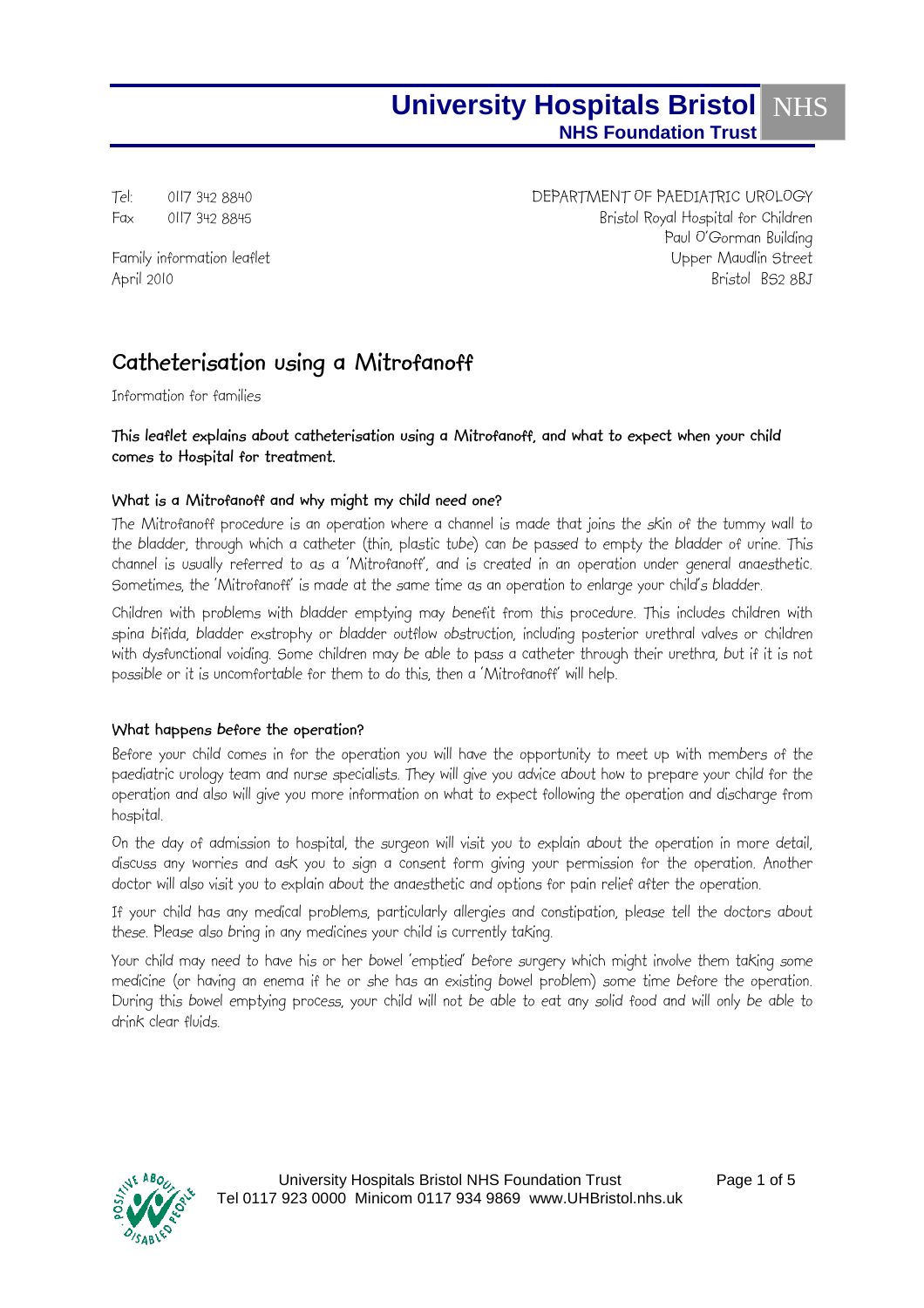Tel: 0117 342 8840 DEPARTMENT OF PAEDIATRIC UROLOGY Fax 0117 342 8845 Bristol Royal Hospital for Children Paul O'Gorman Building Family information leaflet Upper Maudlin Street April 2010 Bristol BS2 8BJ

# **Catheterisation using a Mitrofanoff**

Information for families

### **This leaflet explains about catheterisation using a Mitrofanoff, and what to expect when your child comes to Hospital for treatment.**

## **What is a Mitrofanoff and why might my child need one?**

The Mitrofanoff procedure is an operation where a channel is made that joins the skin of the tummy wall to the bladder, through which a catheter (thin, plastic tube) can be passed to empty the bladder of urine. This channel is usually referred to as a 'Mitrofanoff', and is created in an operation under general anaesthetic. Sometimes, the 'Mitrofanoff' is made at the same time as an operation to enlarge your child's bladder.

Children with problems with bladder emptying may benefit from this procedure. This includes children with spina bifida, bladder exstrophy or bladder outflow obstruction, including posterior urethral valves or children with dysfunctional voiding. Some children may be able to pass a catheter through their urethra, but if it is not possible or it is uncomfortable for them to do this, then a 'Mitrofanoff' will help.

#### **What happens before the operation?**

Before your child comes in for the operation you will have the opportunity to meet up with members of the paediatric urology team and nurse specialists. They will give you advice about how to prepare your child for the operation and also will give you more information on what to expect following the operation and discharge from hospital.

On the day of admission to hospital, the surgeon will visit you to explain about the operation in more detail, discuss any worries and ask you to sign a consent form giving your permission for the operation. Another doctor will also visit you to explain about the anaesthetic and options for pain relief after the operation.

If your child has any medical problems, particularly allergies and constipation, please tell the doctors about these. Please also bring in any medicines your child is currently taking.

Your child may need to have his or her bowel 'emptied' before surgery which might involve them taking some medicine (or having an enema if he or she has an existing bowel problem) some time before the operation. During this bowel emptying process, your child will not be able to eat any solid food and will only be able to drink clear fluids.

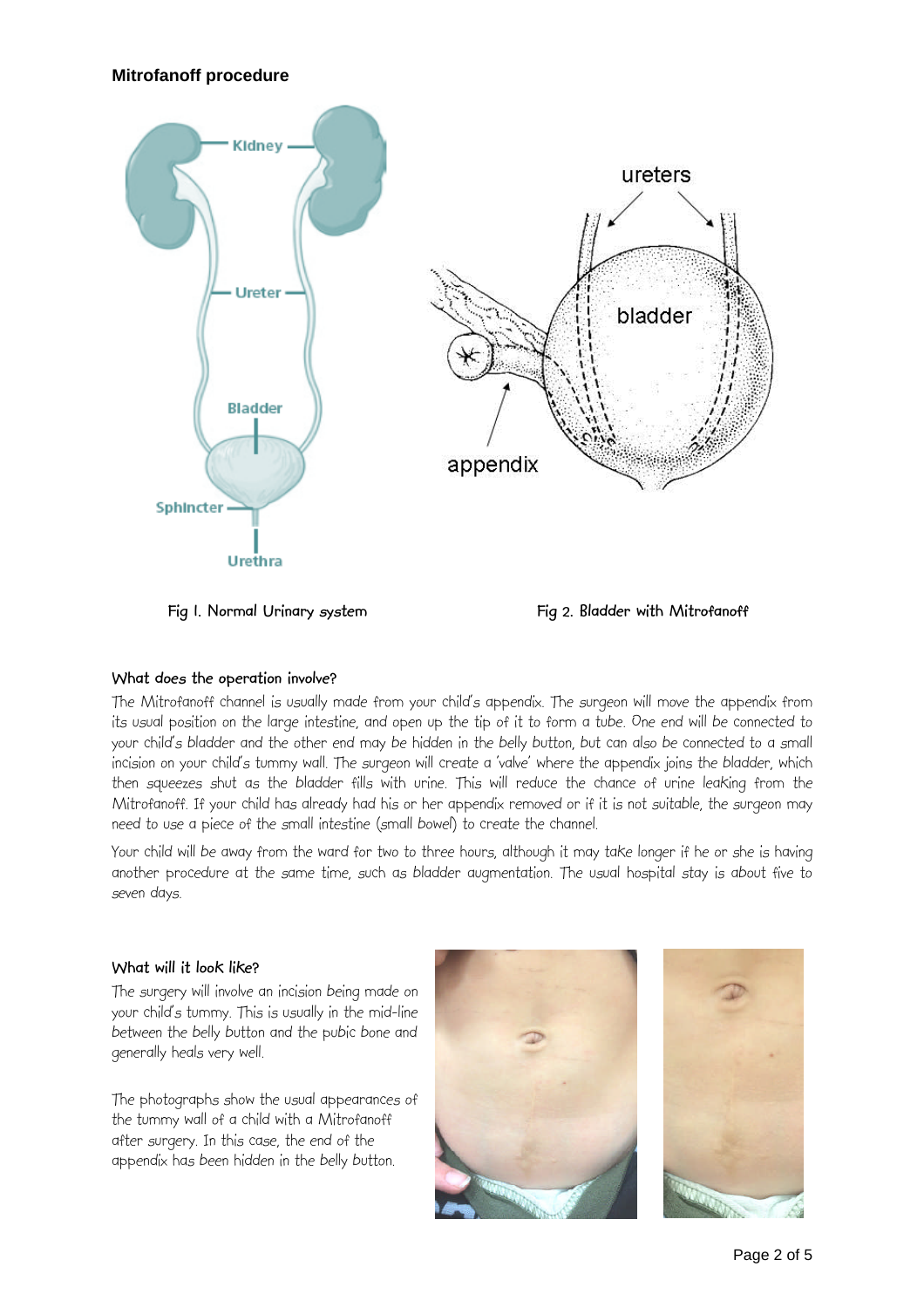

Fig I. Normal Urinary system **Fig 2. Bladder with Mitrofanoff** 

## **What does the operation involve?**

The Mitrofanoff channel is usually made from your child's appendix. The surgeon will move the appendix from its usual position on the large intestine, and open up the tip of it to form a tube. One end will be connected to your child's bladder and the other end may be hidden in the belly button, but can also be connected to a small incision on your child's tummy wall. The surgeon will create a 'valve' where the appendix joins the bladder, which then squeezes shut as the bladder fills with urine. This will reduce the chance of urine leaking from the Mitrofanoff. If your child has already had his or her appendix removed or if it is not suitable, the surgeon may need to use a piece of the small intestine (small bowel) to create the channel.

Your child will be away from the ward for two to three hours, although it may take longer if he or she is having another procedure at the same time, such as bladder augmentation. The usual hospital stay is about five to seven days.

## **What will it look like?**

The surgery will involve an incision being made on your child's tummy. This is usually in the mid-line between the belly button and the pubic bone and generally heals very well.

The photographs show the usual appearances of the tummy wall of a child with a Mitrofanoff after surgery. In this case, the end of the appendix has been hidden in the belly button.



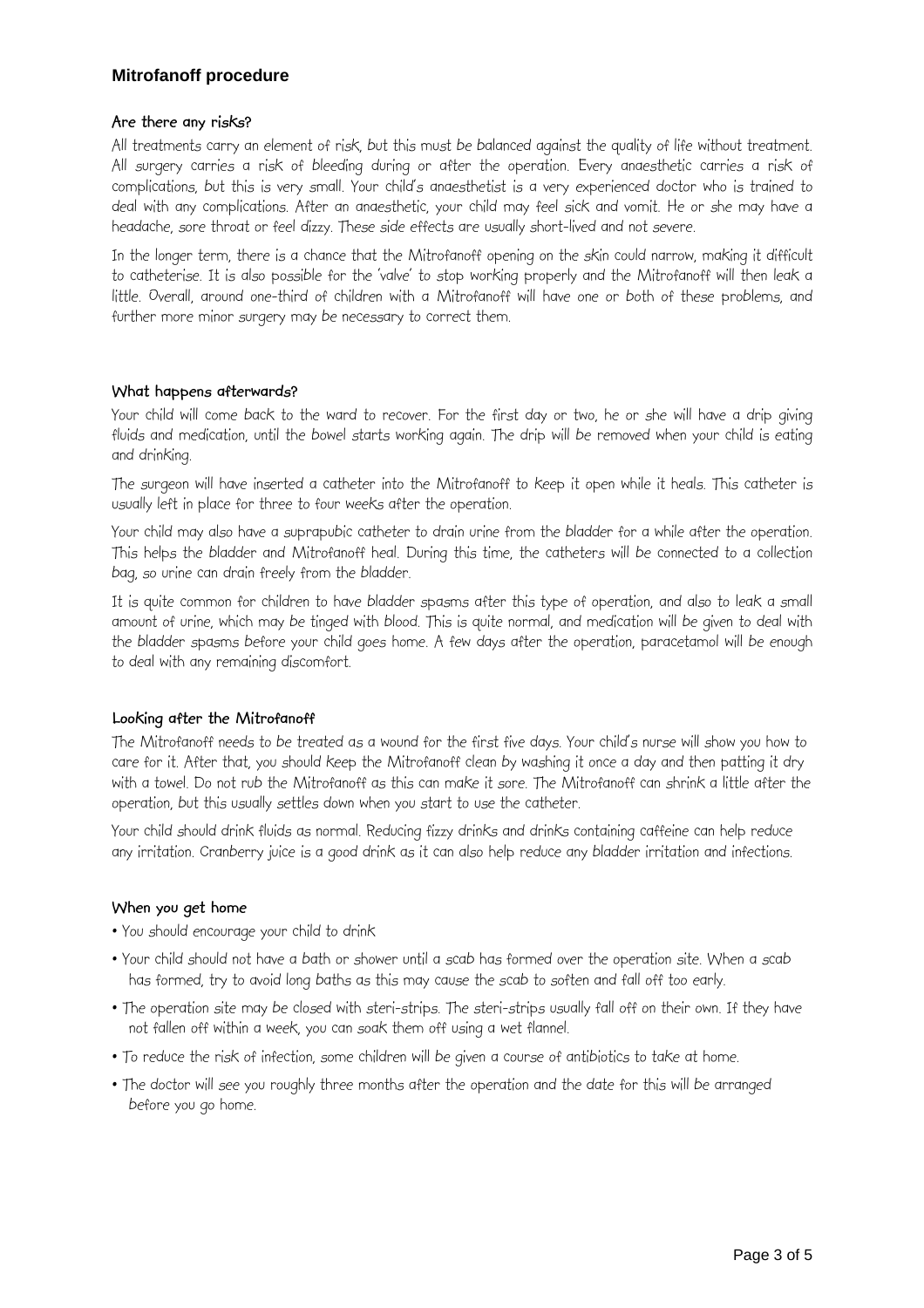#### **Are there any risks?**

All treatments carry an element of risk, but this must be balanced against the quality of life without treatment. All surgery carries a risk of bleeding during or after the operation. Every anaesthetic carries a risk of complications, but this is very small. Your child's anaesthetist is a very experienced doctor who is trained to deal with any complications. After an anaesthetic, your child may feel sick and vomit. He or she may have a headache, sore throat or feel dizzy. These side effects are usually short-lived and not severe.

In the longer term, there is a chance that the Mitrofanoff opening on the skin could narrow, making it difficult to catheterise. It is also possible for the 'valve' to stop working properly and the Mitrofanoff will then leak a little. Overall, around one-third of children with a Mitrofanoff will have one or both of these problems, and further more minor surgery may be necessary to correct them.

#### **What happens afterwards?**

Your child will come back to the ward to recover. For the first day or two, he or she will have a drip giving fluids and medication, until the bowel starts working again. The drip will be removed when your child is eating and drinking.

The surgeon will have inserted a catheter into the Mitrofanoff to keep it open while it heals. This catheter is usually left in place for three to four weeks after the operation.

Your child may also have a suprapubic catheter to drain urine from the bladder for a while after the operation. This helps the bladder and Mitrofanoff heal. During this time, the catheters will be connected to a collection bag, so urine can drain freely from the bladder.

It is quite common for children to have bladder spasms after this type of operation, and also to leak a small amount of urine, which may be tinged with blood. This is quite normal, and medication will be given to deal with the bladder spasms before your child goes home. A few days after the operation, paracetamol will be enough to deal with any remaining discomfort.

## **Looking after the Mitrofanoff**

The Mitrofanoff needs to be treated as a wound for the first five days. Your child's nurse will show you how to care for it. After that, you should keep the Mitrofanoff clean by washing it once a day and then patting it dry with a towel. Do not rub the Mitrofanoff as this can make it sore. The Mitrofanoff can shrink a little after the operation, but this usually settles down when you start to use the catheter.

Your child should drink fluids as normal. Reducing fizzy drinks and drinks containing caffeine can help reduce any irritation. Cranberry juice is a good drink as it can also help reduce any bladder irritation and infections.

#### **When you get home**

- You should encourage your child to drink
- Your child should not have a bath or shower until a scab has formed over the operation site. When a scab has formed, try to avoid long baths as this may cause the scab to soften and fall off too early.
- The operation site may be closed with steri-strips. The steri-strips usually fall off on their own. If they have not fallen off within a week, you can soak them off using a wet flannel.
- To reduce the risk of infection, some children will be given a course of antibiotics to take at home.
- The doctor will see you roughly three months after the operation and the date for this will be arranged before you go home.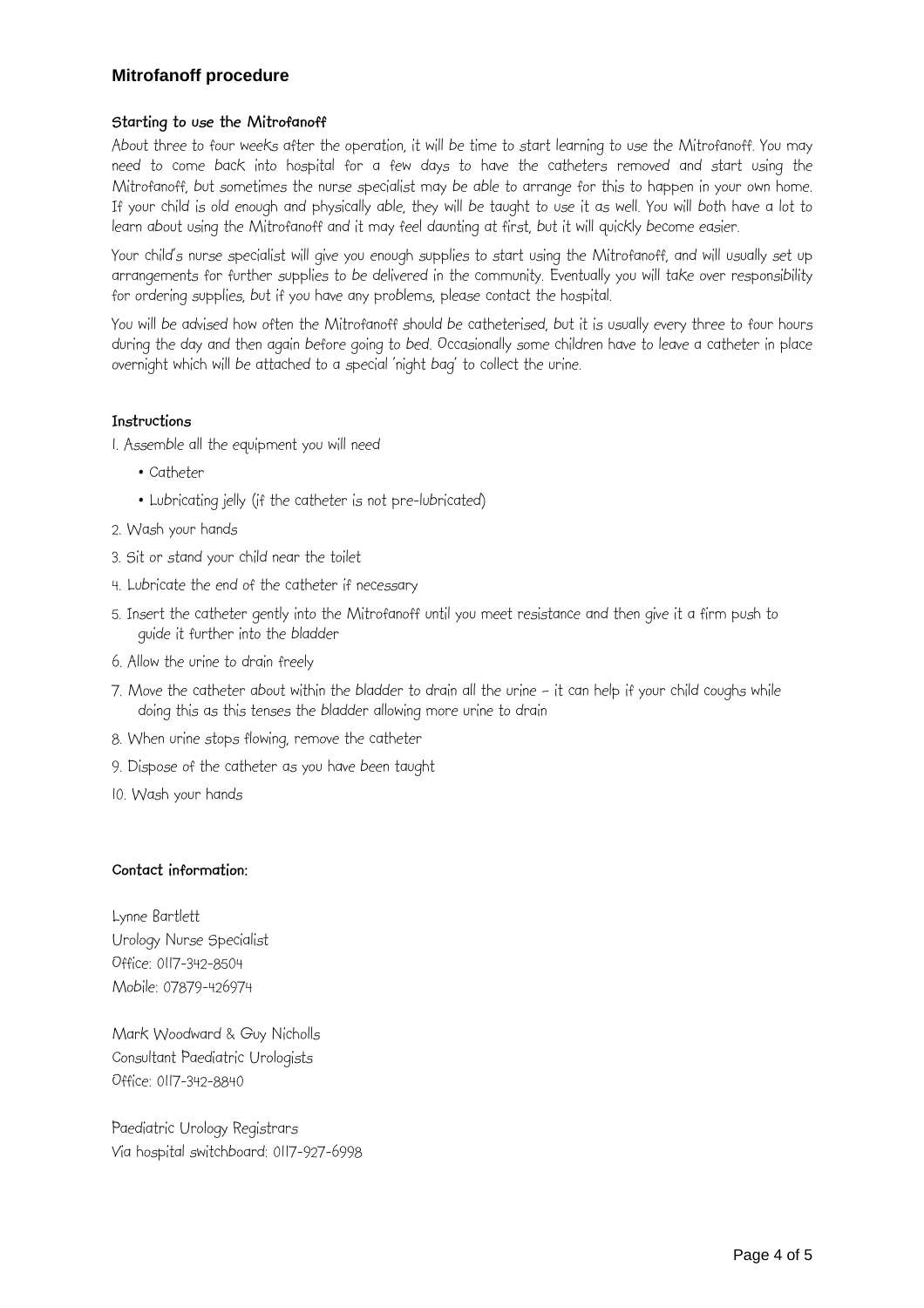#### **Starting to use the Mitrofanoff**

About three to four weeks after the operation, it will be time to start learning to use the Mitrofanoff. You may need to come back into hospital for a few days to have the catheters removed and start using the Mitrofanoff, but sometimes the nurse specialist may be able to arrange for this to happen in your own home. If your child is old enough and physically able, they will be taught to use it as well. You will both have a lot to learn about using the Mitrofanoff and it may feel daunting at first, but it will quickly become easier.

Your child's nurse specialist will give you enough supplies to start using the Mitrofanoff, and will usually set up arrangements for further supplies to be delivered in the community. Eventually you will take over responsibility for ordering supplies, but if you have any problems, please contact the hospital.

You will be advised how often the Mitrofanoff should be catheterised, but it is usually every three to four hours during the day and then again before going to bed. Occasionally some children have to leave a catheter in place overnight which will be attached to a special 'night bag' to collect the urine.

#### **Instructions**

- 1. Assemble all the equipment you will need
	- Catheter
	- Lubricating jelly (if the catheter is not pre-lubricated)
- 2. Wash your hands
- 3. Sit or stand your child near the toilet
- 4. Lubricate the end of the catheter if necessary
- 5. Insert the catheter gently into the Mitrofanoff until you meet resistance and then give it a firm push to guide it further into the bladder
- 6. Allow the urine to drain freely
- 7. Move the catheter about within the bladder to drain all the urine it can help if your child coughs while doing this as this tenses the bladder allowing more urine to drain
- 8. When urine stops flowing, remove the catheter
- 9. Dispose of the catheter as you have been taught
- 10. Wash your hands

#### **Contact information:**

Lynne Bartlett Urology Nurse Specialist Office: 0117-342-8504 Mobile: 07879-426974

Mark Woodward & Guy Nicholls Consultant Paediatric Urologists Office: 0117-342-8840

Paediatric Urology Registrars Via hospital switchboard: 0117-927-6998